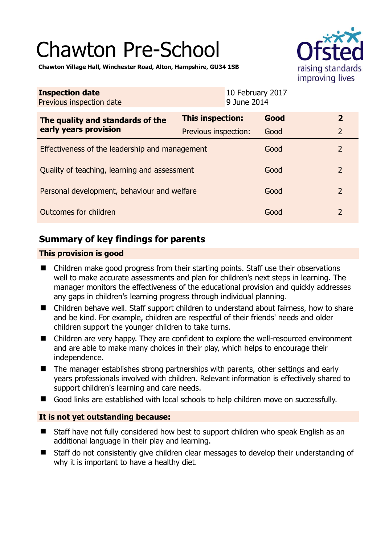# Chawton Pre-School



**Chawton Village Hall, Winchester Road, Alton, Hampshire, GU34 1SB** 

| <b>Inspection date</b><br>Previous inspection date        | 10 February 2017<br>9 June 2014 |      |                |
|-----------------------------------------------------------|---------------------------------|------|----------------|
| The quality and standards of the<br>early years provision | <b>This inspection:</b>         | Good | $\overline{2}$ |
|                                                           | <b>Previous inspection:</b>     | Good | $\overline{2}$ |
| Effectiveness of the leadership and management            |                                 | Good | $\overline{2}$ |
| Quality of teaching, learning and assessment              |                                 | Good | $\overline{2}$ |
| Personal development, behaviour and welfare               |                                 | Good | $\overline{2}$ |
| Outcomes for children                                     |                                 | Good | $\overline{2}$ |

# **Summary of key findings for parents**

## **This provision is good**

- Children make good progress from their starting points. Staff use their observations well to make accurate assessments and plan for children's next steps in learning. The manager monitors the effectiveness of the educational provision and quickly addresses any gaps in children's learning progress through individual planning.
- Children behave well. Staff support children to understand about fairness, how to share and be kind. For example, children are respectful of their friends' needs and older children support the younger children to take turns.
- Children are very happy. They are confident to explore the well-resourced environment and are able to make many choices in their play, which helps to encourage their independence.
- The manager establishes strong partnerships with parents, other settings and early years professionals involved with children. Relevant information is effectively shared to support children's learning and care needs.
- Good links are established with local schools to help children move on successfully.

## **It is not yet outstanding because:**

- Staff have not fully considered how best to support children who speak English as an additional language in their play and learning.
- Staff do not consistently give children clear messages to develop their understanding of why it is important to have a healthy diet.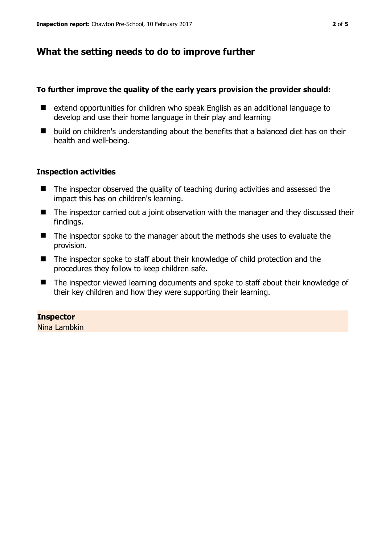# **What the setting needs to do to improve further**

#### **To further improve the quality of the early years provision the provider should:**

- extend opportunities for children who speak English as an additional language to develop and use their home language in their play and learning
- build on children's understanding about the benefits that a balanced diet has on their health and well-being.

#### **Inspection activities**

- The inspector observed the quality of teaching during activities and assessed the impact this has on children's learning.
- The inspector carried out a joint observation with the manager and they discussed their findings.
- The inspector spoke to the manager about the methods she uses to evaluate the provision.
- The inspector spoke to staff about their knowledge of child protection and the procedures they follow to keep children safe.
- The inspector viewed learning documents and spoke to staff about their knowledge of their key children and how they were supporting their learning.

## **Inspector**

Nina Lambkin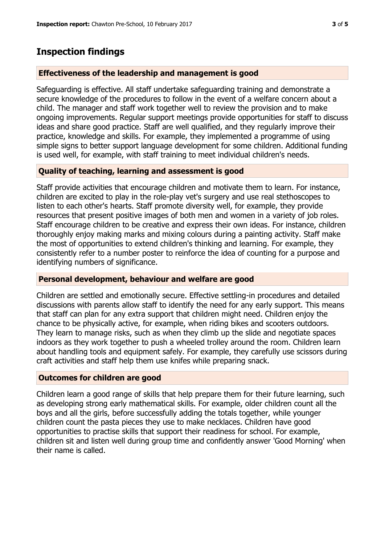# **Inspection findings**

### **Effectiveness of the leadership and management is good**

Safeguarding is effective. All staff undertake safeguarding training and demonstrate a secure knowledge of the procedures to follow in the event of a welfare concern about a child. The manager and staff work together well to review the provision and to make ongoing improvements. Regular support meetings provide opportunities for staff to discuss ideas and share good practice. Staff are well qualified, and they regularly improve their practice, knowledge and skills. For example, they implemented a programme of using simple signs to better support language development for some children. Additional funding is used well, for example, with staff training to meet individual children's needs.

## **Quality of teaching, learning and assessment is good**

Staff provide activities that encourage children and motivate them to learn. For instance, children are excited to play in the role-play vet's surgery and use real stethoscopes to listen to each other's hearts. Staff promote diversity well, for example, they provide resources that present positive images of both men and women in a variety of job roles. Staff encourage children to be creative and express their own ideas. For instance, children thoroughly enjoy making marks and mixing colours during a painting activity. Staff make the most of opportunities to extend children's thinking and learning. For example, they consistently refer to a number poster to reinforce the idea of counting for a purpose and identifying numbers of significance.

#### **Personal development, behaviour and welfare are good**

Children are settled and emotionally secure. Effective settling-in procedures and detailed discussions with parents allow staff to identify the need for any early support. This means that staff can plan for any extra support that children might need. Children enjoy the chance to be physically active, for example, when riding bikes and scooters outdoors. They learn to manage risks, such as when they climb up the slide and negotiate spaces indoors as they work together to push a wheeled trolley around the room. Children learn about handling tools and equipment safely. For example, they carefully use scissors during craft activities and staff help them use knifes while preparing snack.

#### **Outcomes for children are good**

Children learn a good range of skills that help prepare them for their future learning, such as developing strong early mathematical skills. For example, older children count all the boys and all the girls, before successfully adding the totals together, while younger children count the pasta pieces they use to make necklaces. Children have good opportunities to practise skills that support their readiness for school. For example, children sit and listen well during group time and confidently answer 'Good Morning' when their name is called.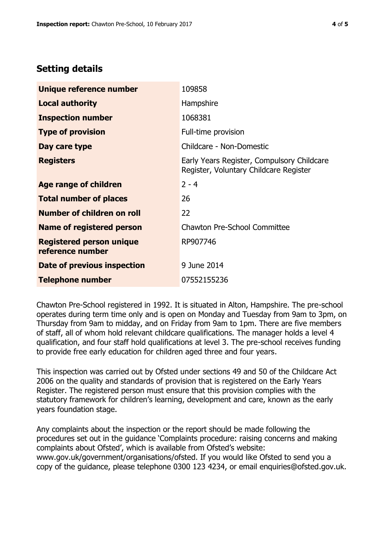# **Setting details**

| Unique reference number                             | 109858                                                                               |  |
|-----------------------------------------------------|--------------------------------------------------------------------------------------|--|
| <b>Local authority</b>                              | Hampshire                                                                            |  |
| <b>Inspection number</b>                            | 1068381                                                                              |  |
| <b>Type of provision</b>                            | Full-time provision                                                                  |  |
| Day care type                                       | Childcare - Non-Domestic                                                             |  |
| <b>Registers</b>                                    | Early Years Register, Compulsory Childcare<br>Register, Voluntary Childcare Register |  |
| Age range of children                               | $2 - 4$                                                                              |  |
| <b>Total number of places</b>                       | 26                                                                                   |  |
| Number of children on roll                          | 22                                                                                   |  |
| Name of registered person                           | <b>Chawton Pre-School Committee</b>                                                  |  |
| <b>Registered person unique</b><br>reference number | RP907746                                                                             |  |
| <b>Date of previous inspection</b>                  | 9 June 2014                                                                          |  |
| <b>Telephone number</b>                             | 07552155236                                                                          |  |

Chawton Pre-School registered in 1992. It is situated in Alton, Hampshire. The pre-school operates during term time only and is open on Monday and Tuesday from 9am to 3pm, on Thursday from 9am to midday, and on Friday from 9am to 1pm. There are five members of staff, all of whom hold relevant childcare qualifications. The manager holds a level 4 qualification, and four staff hold qualifications at level 3. The pre-school receives funding to provide free early education for children aged three and four years.

This inspection was carried out by Ofsted under sections 49 and 50 of the Childcare Act 2006 on the quality and standards of provision that is registered on the Early Years Register. The registered person must ensure that this provision complies with the statutory framework for children's learning, development and care, known as the early years foundation stage.

Any complaints about the inspection or the report should be made following the procedures set out in the guidance 'Complaints procedure: raising concerns and making complaints about Ofsted', which is available from Ofsted's website: www.gov.uk/government/organisations/ofsted. If you would like Ofsted to send you a copy of the guidance, please telephone 0300 123 4234, or email enquiries@ofsted.gov.uk.